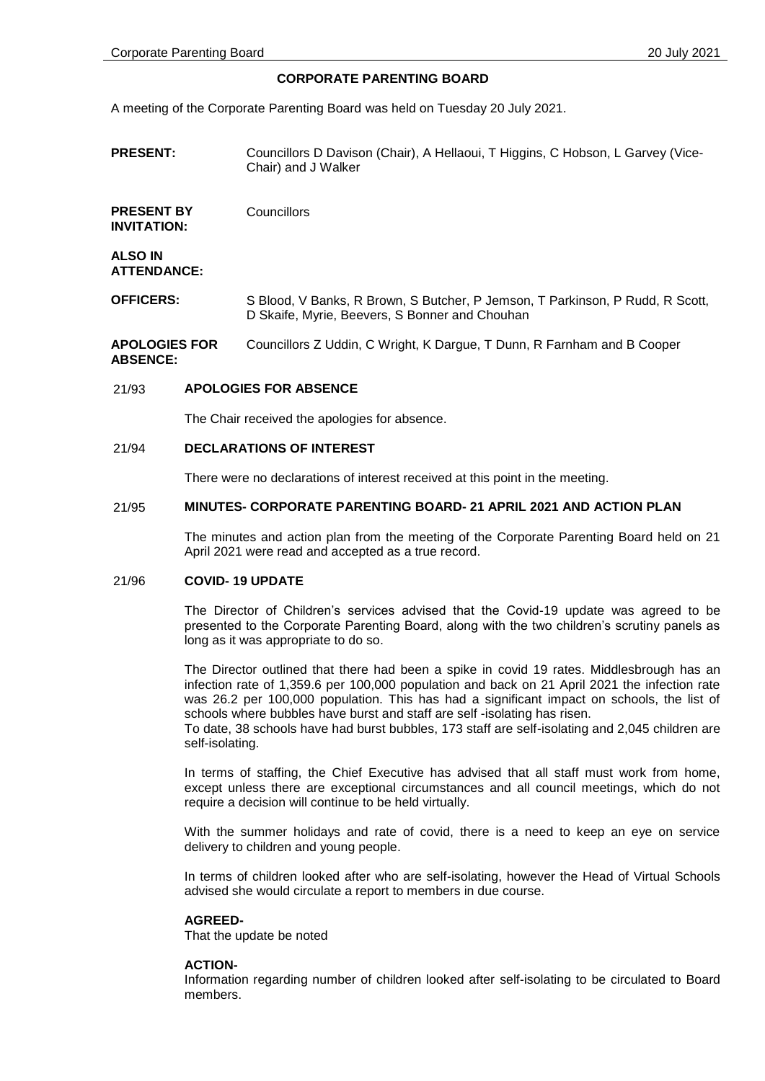### **CORPORATE PARENTING BOARD**

A meeting of the Corporate Parenting Board was held on Tuesday 20 July 2021.

**PRESENT:** Councillors D Davison (Chair), A Hellaoui, T Higgins, C Hobson, L Garvey (Vice-Chair) and J Walker

**PRESENT BY INVITATION: Councillors** 

**ALSO IN ATTENDANCE:**

**OFFICERS:** S Blood, V Banks, R Brown, S Butcher, P Jemson, T Parkinson, P Rudd, R Scott, D Skaife, Myrie, Beevers, S Bonner and Chouhan

**APOLOGIES FOR ABSENCE:** Councillors Z Uddin, C Wright, K Dargue, T Dunn, R Farnham and B Cooper

### 21/93 **APOLOGIES FOR ABSENCE**

The Chair received the apologies for absence.

#### 21/94 **DECLARATIONS OF INTEREST**

There were no declarations of interest received at this point in the meeting.

#### 21/95 **MINUTES- CORPORATE PARENTING BOARD- 21 APRIL 2021 AND ACTION PLAN**

The minutes and action plan from the meeting of the Corporate Parenting Board held on 21 April 2021 were read and accepted as a true record.

#### 21/96 **COVID- 19 UPDATE**

The Director of Children's services advised that the Covid-19 update was agreed to be presented to the Corporate Parenting Board, along with the two children's scrutiny panels as long as it was appropriate to do so.

The Director outlined that there had been a spike in covid 19 rates. Middlesbrough has an infection rate of 1,359.6 per 100,000 population and back on 21 April 2021 the infection rate was 26.2 per 100,000 population. This has had a significant impact on schools, the list of schools where bubbles have burst and staff are self -isolating has risen.

To date, 38 schools have had burst bubbles, 173 staff are self-isolating and 2,045 children are self-isolating.

In terms of staffing, the Chief Executive has advised that all staff must work from home, except unless there are exceptional circumstances and all council meetings, which do not require a decision will continue to be held virtually.

With the summer holidays and rate of covid, there is a need to keep an eye on service delivery to children and young people.

In terms of children looked after who are self-isolating, however the Head of Virtual Schools advised she would circulate a report to members in due course.

#### **AGREED-**

That the update be noted

### **ACTION-**

Information regarding number of children looked after self-isolating to be circulated to Board members.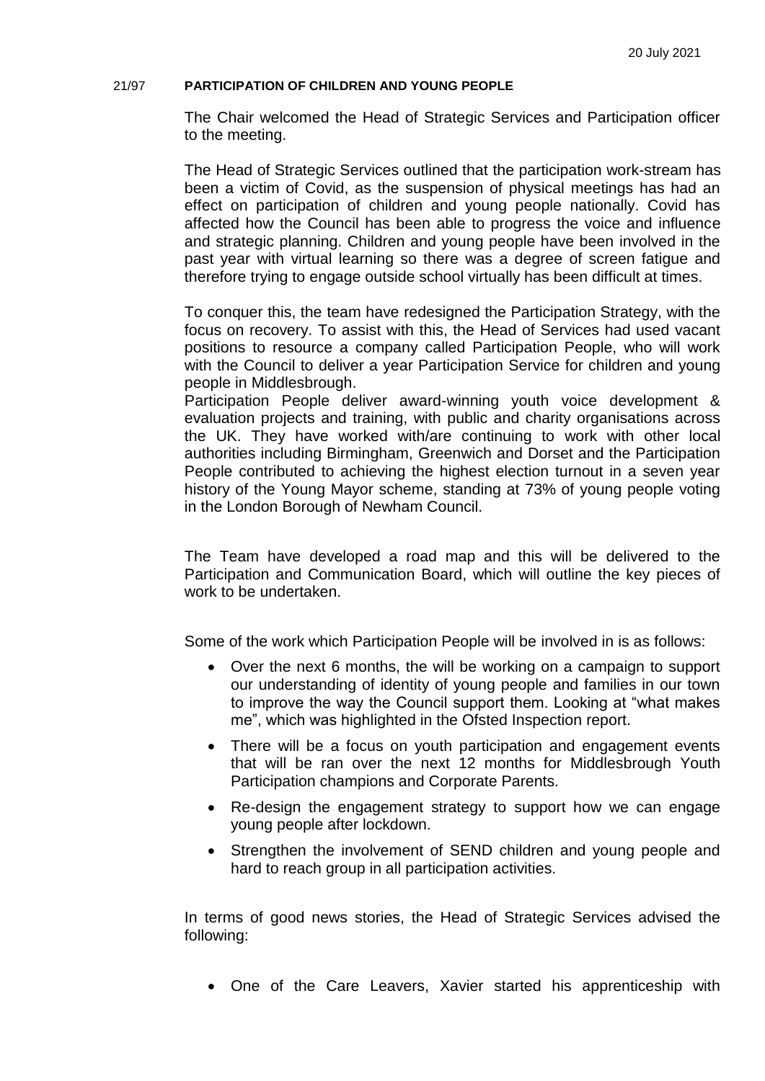# 21/97 **PARTICIPATION OF CHILDREN AND YOUNG PEOPLE**

The Chair welcomed the Head of Strategic Services and Participation officer to the meeting.

The Head of Strategic Services outlined that the participation work-stream has been a victim of Covid, as the suspension of physical meetings has had an effect on participation of children and young people nationally. Covid has affected how the Council has been able to progress the voice and influence and strategic planning. Children and young people have been involved in the past year with virtual learning so there was a degree of screen fatigue and therefore trying to engage outside school virtually has been difficult at times.

To conquer this, the team have redesigned the Participation Strategy, with the focus on recovery. To assist with this, the Head of Services had used vacant positions to resource a company called Participation People, who will work with the Council to deliver a year Participation Service for children and young people in Middlesbrough.

Participation People deliver award-winning youth voice development & evaluation projects and training, with public and charity organisations across the UK. They have worked with/are continuing to work with other local authorities including Birmingham, Greenwich and Dorset and the Participation People contributed to achieving the highest election turnout in a seven year history of the Young Mayor scheme, standing at 73% of young people voting in the London Borough of Newham Council.

The Team have developed a road map and this will be delivered to the Participation and Communication Board, which will outline the key pieces of work to be undertaken.

Some of the work which Participation People will be involved in is as follows:

- Over the next 6 months, the will be working on a campaign to support our understanding of identity of young people and families in our town to improve the way the Council support them. Looking at "what makes me", which was highlighted in the Ofsted Inspection report.
- There will be a focus on youth participation and engagement events that will be ran over the next 12 months for Middlesbrough Youth Participation champions and Corporate Parents.
- Re-design the engagement strategy to support how we can engage young people after lockdown.
- Strengthen the involvement of SEND children and young people and hard to reach group in all participation activities.

In terms of good news stories, the Head of Strategic Services advised the following:

One of the Care Leavers, Xavier started his apprenticeship with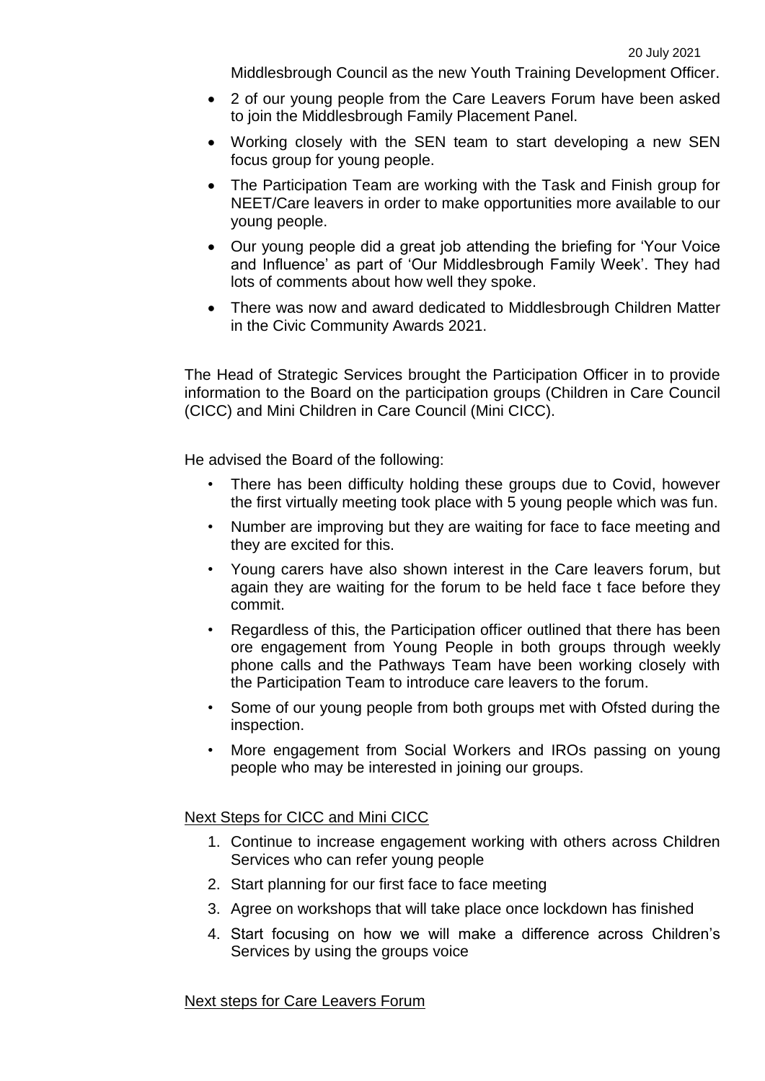Middlesbrough Council as the new Youth Training Development Officer.

- 2 of our young people from the Care Leavers Forum have been asked to join the Middlesbrough Family Placement Panel.
- Working closely with the SEN team to start developing a new SEN focus group for young people.
- The Participation Team are working with the Task and Finish group for NEET/Care leavers in order to make opportunities more available to our young people.
- Our young people did a great job attending the briefing for 'Your Voice and Influence' as part of 'Our Middlesbrough Family Week'. They had lots of comments about how well they spoke.
- There was now and award dedicated to Middlesbrough Children Matter in the Civic Community Awards 2021.

The Head of Strategic Services brought the Participation Officer in to provide information to the Board on the participation groups (Children in Care Council (CICC) and Mini Children in Care Council (Mini CICC).

He advised the Board of the following:

- There has been difficulty holding these groups due to Covid, however the first virtually meeting took place with 5 young people which was fun.
- Number are improving but they are waiting for face to face meeting and they are excited for this.
- Young carers have also shown interest in the Care leavers forum, but again they are waiting for the forum to be held face t face before they commit.
- Regardless of this, the Participation officer outlined that there has been ore engagement from Young People in both groups through weekly phone calls and the Pathways Team have been working closely with the Participation Team to introduce care leavers to the forum.
- Some of our young people from both groups met with Ofsted during the inspection.
- More engagement from Social Workers and IROs passing on young people who may be interested in joining our groups.

# Next Steps for CICC and Mini CICC

- 1. Continue to increase engagement working with others across Children Services who can refer young people
- 2. Start planning for our first face to face meeting
- 3. Agree on workshops that will take place once lockdown has finished
- 4. Start focusing on how we will make a difference across Children's Services by using the groups voice

# Next steps for Care Leavers Forum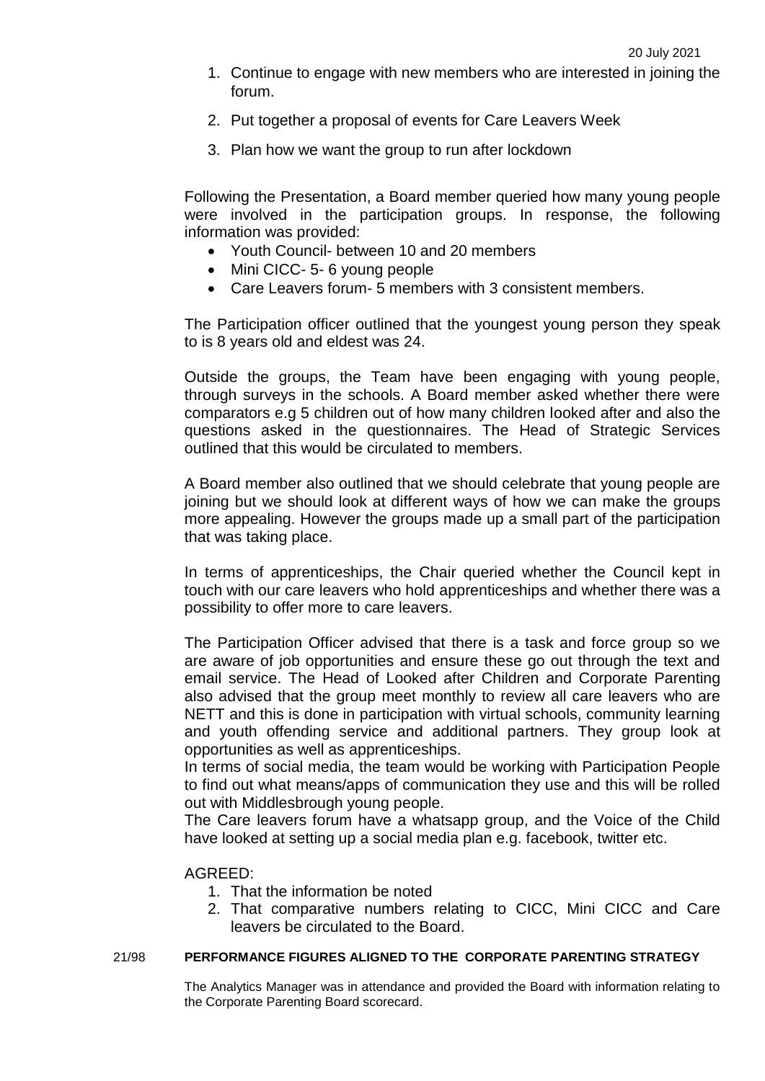- 1. Continue to engage with new members who are interested in joining the forum.
- 2. Put together a proposal of events for Care Leavers Week
- 3. Plan how we want the group to run after lockdown

Following the Presentation, a Board member queried how many young people were involved in the participation groups. In response, the following information was provided:

- Youth Council- between 10 and 20 members
- Mini CICC- 5- 6 young people
- Care Leavers forum- 5 members with 3 consistent members.

The Participation officer outlined that the youngest young person they speak to is 8 years old and eldest was 24.

Outside the groups, the Team have been engaging with young people, through surveys in the schools. A Board member asked whether there were comparators e.g 5 children out of how many children looked after and also the questions asked in the questionnaires. The Head of Strategic Services outlined that this would be circulated to members.

A Board member also outlined that we should celebrate that young people are joining but we should look at different ways of how we can make the groups more appealing. However the groups made up a small part of the participation that was taking place.

In terms of apprenticeships, the Chair queried whether the Council kept in touch with our care leavers who hold apprenticeships and whether there was a possibility to offer more to care leavers.

The Participation Officer advised that there is a task and force group so we are aware of job opportunities and ensure these go out through the text and email service. The Head of Looked after Children and Corporate Parenting also advised that the group meet monthly to review all care leavers who are NETT and this is done in participation with virtual schools, community learning and youth offending service and additional partners. They group look at opportunities as well as apprenticeships.

In terms of social media, the team would be working with Participation People to find out what means/apps of communication they use and this will be rolled out with Middlesbrough young people.

The Care leavers forum have a whatsapp group, and the Voice of the Child have looked at setting up a social media plan e.g. facebook, twitter etc.

# AGREED:

- 1. That the information be noted
- 2. That comparative numbers relating to CICC, Mini CICC and Care leavers be circulated to the Board.

# 21/98 **PERFORMANCE FIGURES ALIGNED TO THE CORPORATE PARENTING STRATEGY**

The Analytics Manager was in attendance and provided the Board with information relating to the Corporate Parenting Board scorecard.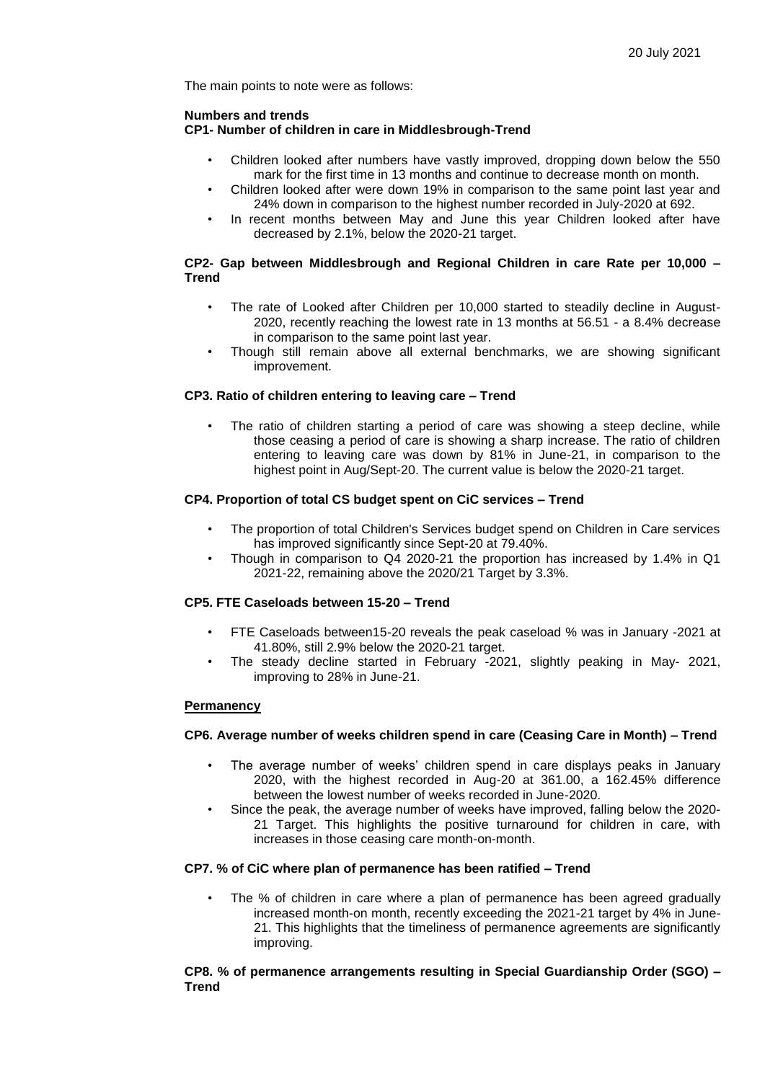The main points to note were as follows:

## **Numbers and trends**

## **CP1- Number of children in care in Middlesbrough-Trend**

- Children looked after numbers have vastly improved, dropping down below the 550 mark for the first time in 13 months and continue to decrease month on month.
- Children looked after were down 19% in comparison to the same point last year and 24% down in comparison to the highest number recorded in July-2020 at 692.
- In recent months between May and June this year Children looked after have decreased by 2.1%, below the 2020-21 target.

## **CP2- Gap between Middlesbrough and Regional Children in care Rate per 10,000 – Trend**

- The rate of Looked after Children per 10,000 started to steadily decline in August-2020, recently reaching the lowest rate in 13 months at 56.51 - a 8.4% decrease in comparison to the same point last year.
- Though still remain above all external benchmarks, we are showing significant improvement.

## **CP3. Ratio of children entering to leaving care – Trend**

The ratio of children starting a period of care was showing a steep decline, while those ceasing a period of care is showing a sharp increase. The ratio of children entering to leaving care was down by 81% in June-21, in comparison to the highest point in Aug/Sept-20. The current value is below the 2020-21 target.

# **CP4. Proportion of total CS budget spent on CiC services – Trend**

- The proportion of total Children's Services budget spend on Children in Care services has improved significantly since Sept-20 at 79.40%.
- Though in comparison to Q4 2020-21 the proportion has increased by 1.4% in Q1 2021-22, remaining above the 2020/21 Target by 3.3%.

### **CP5. FTE Caseloads between 15-20 – Trend**

- FTE Caseloads between15-20 reveals the peak caseload % was in January -2021 at 41.80%, still 2.9% below the 2020-21 target.
- The steady decline started in February -2021, slightly peaking in May- 2021, improving to 28% in June-21.

### **Permanency**

### **CP6. Average number of weeks children spend in care (Ceasing Care in Month) – Trend**

- The average number of weeks' children spend in care displays peaks in January 2020, with the highest recorded in Aug-20 at 361.00, a 162.45% difference between the lowest number of weeks recorded in June-2020.
- Since the peak, the average number of weeks have improved, falling below the 2020- 21 Target. This highlights the positive turnaround for children in care, with increases in those ceasing care month-on-month.

### **CP7. % of CiC where plan of permanence has been ratified – Trend**

The % of children in care where a plan of permanence has been agreed gradually increased month-on month, recently exceeding the 2021-21 target by 4% in June-21. This highlights that the timeliness of permanence agreements are significantly improving.

### **CP8. % of permanence arrangements resulting in Special Guardianship Order (SGO) – Trend**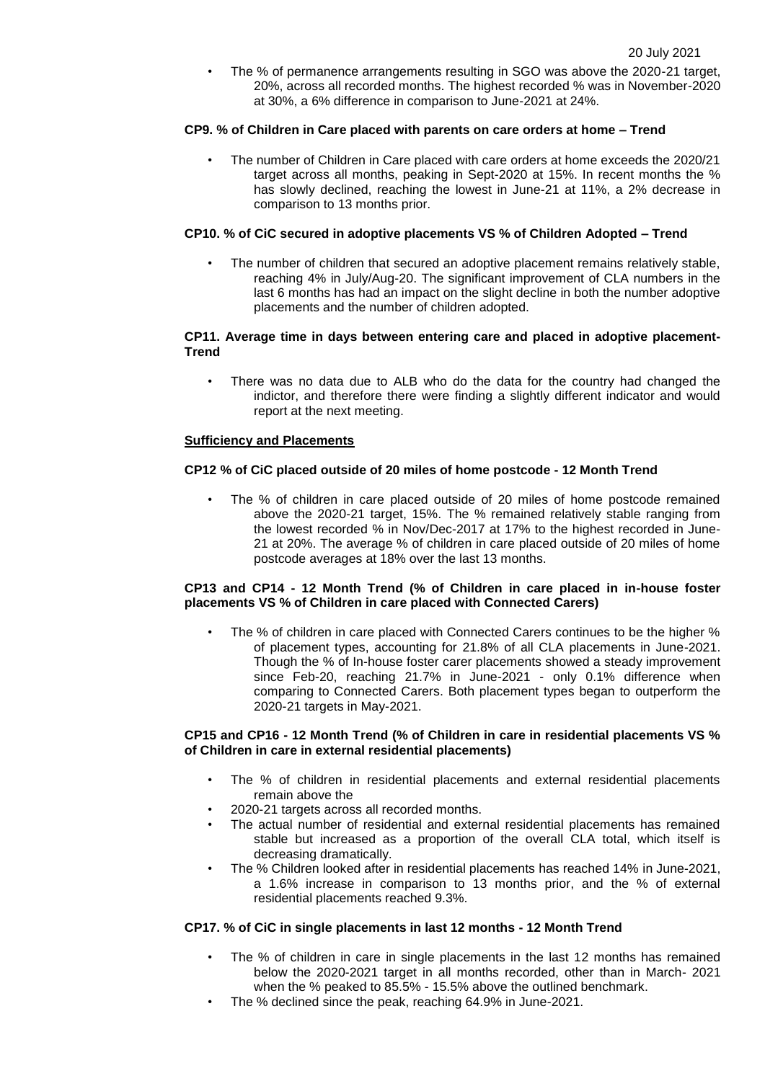• The % of permanence arrangements resulting in SGO was above the 2020-21 target, 20%, across all recorded months. The highest recorded % was in November-2020 at 30%, a 6% difference in comparison to June-2021 at 24%.

## **CP9. % of Children in Care placed with parents on care orders at home – Trend**

• The number of Children in Care placed with care orders at home exceeds the 2020/21 target across all months, peaking in Sept-2020 at 15%. In recent months the % has slowly declined, reaching the lowest in June-21 at 11%, a 2% decrease in comparison to 13 months prior.

### **CP10. % of CiC secured in adoptive placements VS % of Children Adopted – Trend**

The number of children that secured an adoptive placement remains relatively stable. reaching 4% in July/Aug-20. The significant improvement of CLA numbers in the last 6 months has had an impact on the slight decline in both the number adoptive placements and the number of children adopted.

#### **CP11. Average time in days between entering care and placed in adoptive placement-Trend**

• There was no data due to ALB who do the data for the country had changed the indictor, and therefore there were finding a slightly different indicator and would report at the next meeting.

### **Sufficiency and Placements**

## **CP12 % of CiC placed outside of 20 miles of home postcode - 12 Month Trend**

• The % of children in care placed outside of 20 miles of home postcode remained above the 2020-21 target, 15%. The % remained relatively stable ranging from the lowest recorded % in Nov/Dec-2017 at 17% to the highest recorded in June-21 at 20%. The average % of children in care placed outside of 20 miles of home postcode averages at 18% over the last 13 months.

### **CP13 and CP14 - 12 Month Trend (% of Children in care placed in in-house foster placements VS % of Children in care placed with Connected Carers)**

• The % of children in care placed with Connected Carers continues to be the higher % of placement types, accounting for 21.8% of all CLA placements in June-2021. Though the % of In-house foster carer placements showed a steady improvement since Feb-20, reaching 21.7% in June-2021 - only 0.1% difference when comparing to Connected Carers. Both placement types began to outperform the 2020-21 targets in May-2021.

### **CP15 and CP16 - 12 Month Trend (% of Children in care in residential placements VS % of Children in care in external residential placements)**

- The % of children in residential placements and external residential placements remain above the
- 2020-21 targets across all recorded months.
- The actual number of residential and external residential placements has remained stable but increased as a proportion of the overall CLA total, which itself is decreasing dramatically.
- The % Children looked after in residential placements has reached 14% in June-2021, a 1.6% increase in comparison to 13 months prior, and the % of external residential placements reached 9.3%.

## **CP17. % of CiC in single placements in last 12 months - 12 Month Trend**

- The % of children in care in single placements in the last 12 months has remained below the 2020-2021 target in all months recorded, other than in March- 2021 when the % peaked to 85.5% - 15.5% above the outlined benchmark.
- The % declined since the peak, reaching 64.9% in June-2021.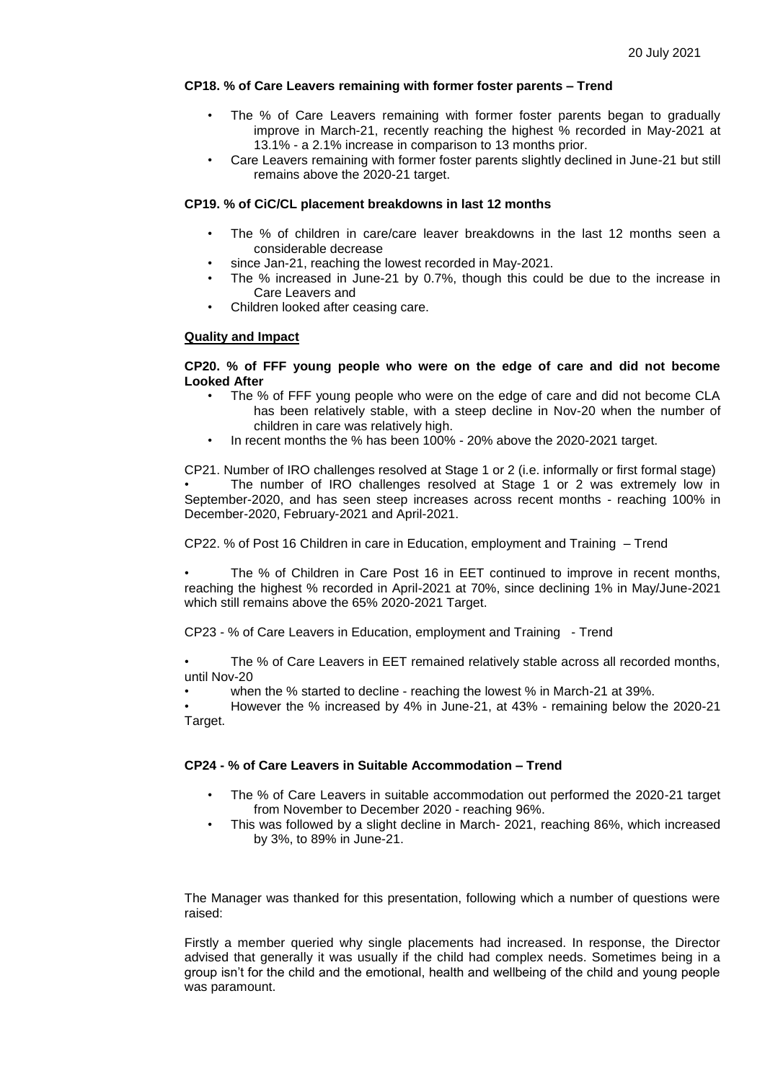## **CP18. % of Care Leavers remaining with former foster parents – Trend**

- The % of Care Leavers remaining with former foster parents began to gradually improve in March-21, recently reaching the highest % recorded in May-2021 at 13.1% - a 2.1% increase in comparison to 13 months prior.
- Care Leavers remaining with former foster parents slightly declined in June-21 but still remains above the 2020-21 target.

### **CP19. % of CiC/CL placement breakdowns in last 12 months**

- The % of children in care/care leaver breakdowns in the last 12 months seen a considerable decrease
- since Jan-21, reaching the lowest recorded in May-2021.
- The % increased in June-21 by 0.7%, though this could be due to the increase in Care Leavers and
- Children looked after ceasing care.

### **Quality and Impact**

### **CP20. % of FFF young people who were on the edge of care and did not become Looked After**

- The % of FFF young people who were on the edge of care and did not become CLA has been relatively stable, with a steep decline in Nov-20 when the number of children in care was relatively high.
- In recent months the % has been 100% 20% above the 2020-2021 target.

CP21. Number of IRO challenges resolved at Stage 1 or 2 (i.e. informally or first formal stage) • The number of IRO challenges resolved at Stage 1 or 2 was extremely low in September-2020, and has seen steep increases across recent months - reaching 100% in December-2020, February-2021 and April-2021.

CP22. % of Post 16 Children in care in Education, employment and Training – Trend

The % of Children in Care Post 16 in EET continued to improve in recent months, reaching the highest % recorded in April-2021 at 70%, since declining 1% in May/June-2021 which still remains above the 65% 2020-2021 Target.

CP23 - % of Care Leavers in Education, employment and Training - Trend

• The % of Care Leavers in EET remained relatively stable across all recorded months, until Nov-20

• when the % started to decline - reaching the lowest % in March-21 at 39%.

• However the % increased by 4% in June-21, at 43% - remaining below the 2020-21 Target.

# **CP24 - % of Care Leavers in Suitable Accommodation – Trend**

- The % of Care Leavers in suitable accommodation out performed the 2020-21 target from November to December 2020 - reaching 96%.
- This was followed by a slight decline in March- 2021, reaching 86%, which increased by 3%, to 89% in June-21.

The Manager was thanked for this presentation, following which a number of questions were raised:

Firstly a member queried why single placements had increased. In response, the Director advised that generally it was usually if the child had complex needs. Sometimes being in a group isn't for the child and the emotional, health and wellbeing of the child and young people was paramount.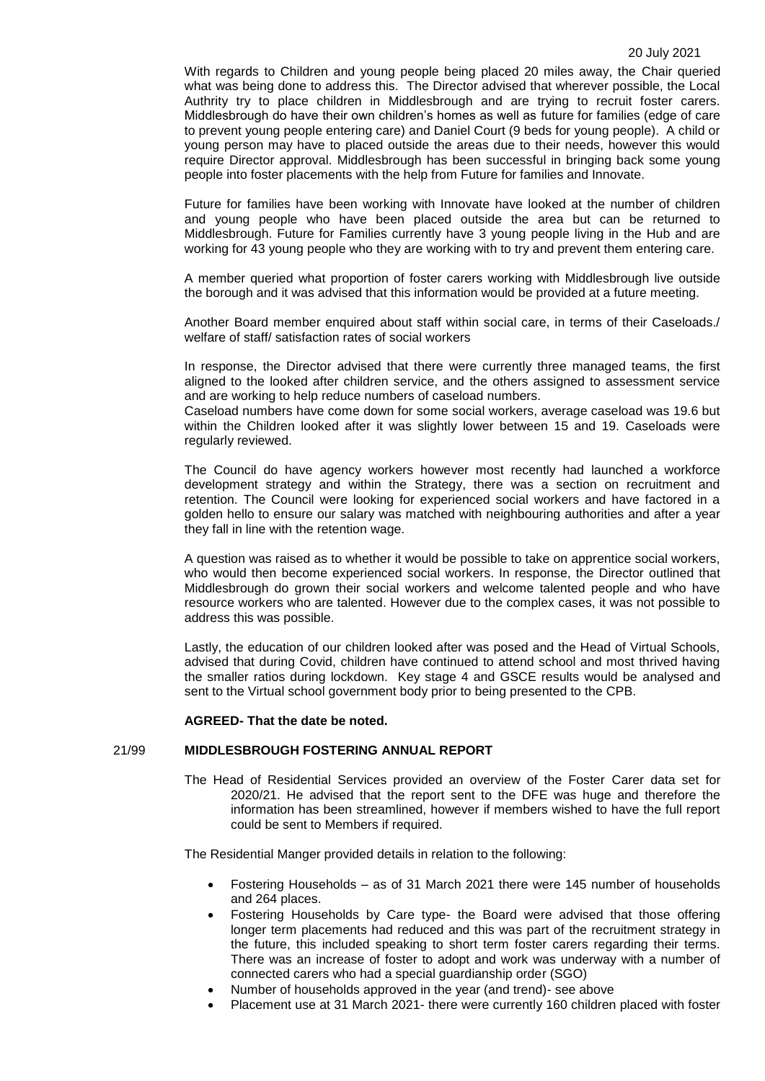With regards to Children and young people being placed 20 miles away, the Chair queried what was being done to address this. The Director advised that wherever possible, the Local Authrity try to place children in Middlesbrough and are trying to recruit foster carers. Middlesbrough do have their own children's homes as well as future for families (edge of care to prevent young people entering care) and Daniel Court (9 beds for young people). A child or young person may have to placed outside the areas due to their needs, however this would require Director approval. Middlesbrough has been successful in bringing back some young people into foster placements with the help from Future for families and Innovate.

Future for families have been working with Innovate have looked at the number of children and young people who have been placed outside the area but can be returned to Middlesbrough. Future for Families currently have 3 young people living in the Hub and are working for 43 young people who they are working with to try and prevent them entering care.

A member queried what proportion of foster carers working with Middlesbrough live outside the borough and it was advised that this information would be provided at a future meeting.

Another Board member enquired about staff within social care, in terms of their Caseloads./ welfare of staff/ satisfaction rates of social workers

In response, the Director advised that there were currently three managed teams, the first aligned to the looked after children service, and the others assigned to assessment service and are working to help reduce numbers of caseload numbers.

Caseload numbers have come down for some social workers, average caseload was 19.6 but within the Children looked after it was slightly lower between 15 and 19. Caseloads were regularly reviewed.

The Council do have agency workers however most recently had launched a workforce development strategy and within the Strategy, there was a section on recruitment and retention. The Council were looking for experienced social workers and have factored in a golden hello to ensure our salary was matched with neighbouring authorities and after a year they fall in line with the retention wage.

A question was raised as to whether it would be possible to take on apprentice social workers, who would then become experienced social workers. In response, the Director outlined that Middlesbrough do grown their social workers and welcome talented people and who have resource workers who are talented. However due to the complex cases, it was not possible to address this was possible.

Lastly, the education of our children looked after was posed and the Head of Virtual Schools, advised that during Covid, children have continued to attend school and most thrived having the smaller ratios during lockdown. Key stage 4 and GSCE results would be analysed and sent to the Virtual school government body prior to being presented to the CPB.

### **AGREED- That the date be noted.**

### 21/99 **MIDDLESBROUGH FOSTERING ANNUAL REPORT**

The Head of Residential Services provided an overview of the Foster Carer data set for 2020/21. He advised that the report sent to the DFE was huge and therefore the information has been streamlined, however if members wished to have the full report could be sent to Members if required.

The Residential Manger provided details in relation to the following:

- Fostering Households as of 31 March 2021 there were 145 number of households and 264 places.
- Fostering Households by Care type- the Board were advised that those offering longer term placements had reduced and this was part of the recruitment strategy in the future, this included speaking to short term foster carers regarding their terms. There was an increase of foster to adopt and work was underway with a number of connected carers who had a special guardianship order (SGO)
- Number of households approved in the year (and trend)- see above
- Placement use at 31 March 2021- there were currently 160 children placed with foster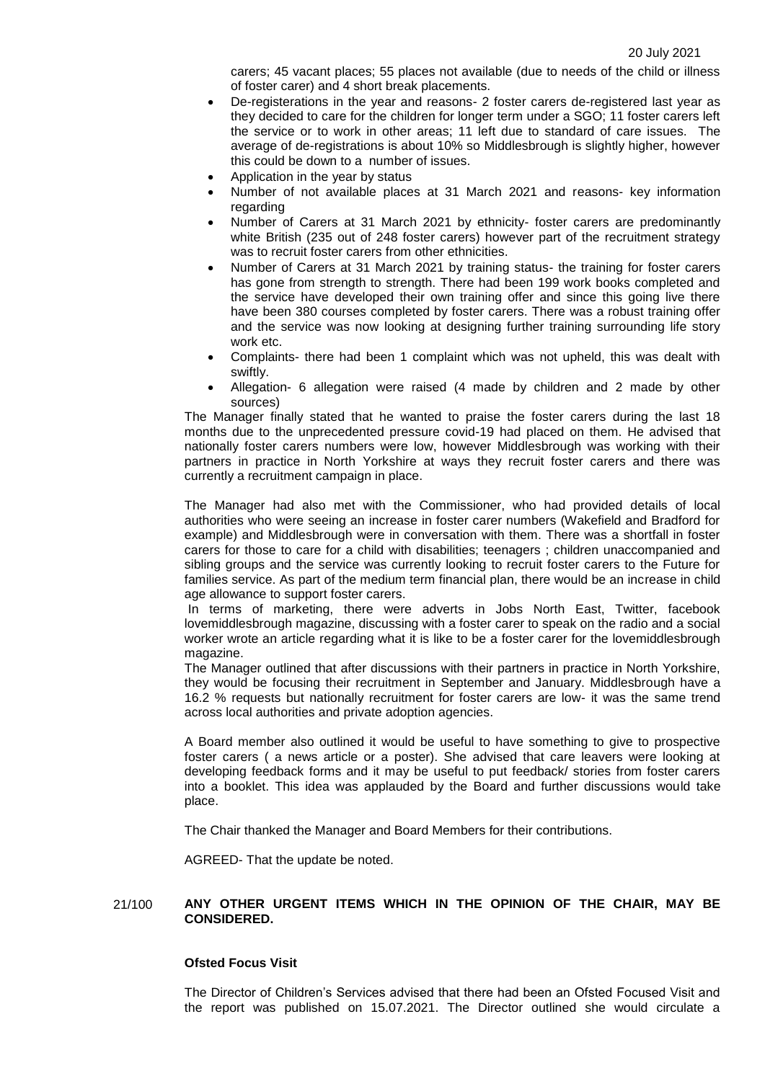carers; 45 vacant places; 55 places not available (due to needs of the child or illness of foster carer) and 4 short break placements.

- De-registerations in the year and reasons- 2 foster carers de-registered last year as they decided to care for the children for longer term under a SGO; 11 foster carers left the service or to work in other areas; 11 left due to standard of care issues. The average of de-registrations is about 10% so Middlesbrough is slightly higher, however this could be down to a number of issues.
- Application in the year by status
- Number of not available places at 31 March 2021 and reasons- key information regarding
- Number of Carers at 31 March 2021 by ethnicity- foster carers are predominantly white British (235 out of 248 foster carers) however part of the recruitment strategy was to recruit foster carers from other ethnicities.
- Number of Carers at 31 March 2021 by training status- the training for foster carers has gone from strength to strength. There had been 199 work books completed and the service have developed their own training offer and since this going live there have been 380 courses completed by foster carers. There was a robust training offer and the service was now looking at designing further training surrounding life story work etc.
- Complaints- there had been 1 complaint which was not upheld, this was dealt with swiftly.
- Allegation- 6 allegation were raised (4 made by children and 2 made by other sources)

The Manager finally stated that he wanted to praise the foster carers during the last 18 months due to the unprecedented pressure covid-19 had placed on them. He advised that nationally foster carers numbers were low, however Middlesbrough was working with their partners in practice in North Yorkshire at ways they recruit foster carers and there was currently a recruitment campaign in place.

The Manager had also met with the Commissioner, who had provided details of local authorities who were seeing an increase in foster carer numbers (Wakefield and Bradford for example) and Middlesbrough were in conversation with them. There was a shortfall in foster carers for those to care for a child with disabilities; teenagers ; children unaccompanied and sibling groups and the service was currently looking to recruit foster carers to the Future for families service. As part of the medium term financial plan, there would be an increase in child age allowance to support foster carers.

In terms of marketing, there were adverts in Jobs North East, Twitter, facebook lovemiddlesbrough magazine, discussing with a foster carer to speak on the radio and a social worker wrote an article regarding what it is like to be a foster carer for the lovemiddlesbrough magazine.

The Manager outlined that after discussions with their partners in practice in North Yorkshire, they would be focusing their recruitment in September and January. Middlesbrough have a 16.2 % requests but nationally recruitment for foster carers are low- it was the same trend across local authorities and private adoption agencies.

A Board member also outlined it would be useful to have something to give to prospective foster carers ( a news article or a poster). She advised that care leavers were looking at developing feedback forms and it may be useful to put feedback/ stories from foster carers into a booklet. This idea was applauded by the Board and further discussions would take place.

The Chair thanked the Manager and Board Members for their contributions.

AGREED- That the update be noted.

### 21/100 **ANY OTHER URGENT ITEMS WHICH IN THE OPINION OF THE CHAIR, MAY BE CONSIDERED.**

#### **Ofsted Focus Visit**

The Director of Children's Services advised that there had been an Ofsted Focused Visit and the report was published on 15.07.2021. The Director outlined she would circulate a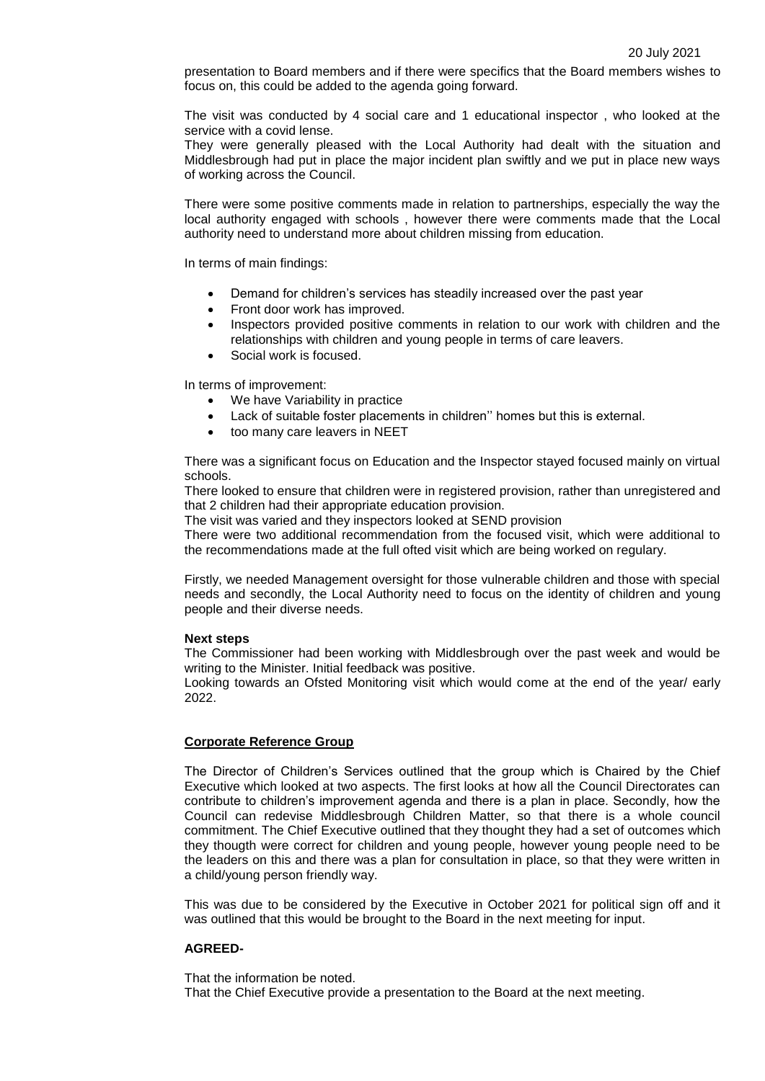presentation to Board members and if there were specifics that the Board members wishes to focus on, this could be added to the agenda going forward.

The visit was conducted by 4 social care and 1 educational inspector , who looked at the service with a covid lense.

They were generally pleased with the Local Authority had dealt with the situation and Middlesbrough had put in place the major incident plan swiftly and we put in place new ways of working across the Council.

There were some positive comments made in relation to partnerships, especially the way the local authority engaged with schools , however there were comments made that the Local authority need to understand more about children missing from education.

In terms of main findings:

- Demand for children's services has steadily increased over the past year
- Front door work has improved.
- Inspectors provided positive comments in relation to our work with children and the relationships with children and young people in terms of care leavers.
- Social work is focused.

In terms of improvement:

- We have Variability in practice
- Lack of suitable foster placements in children'' homes but this is external.
- too many care leavers in NEET

There was a significant focus on Education and the Inspector stayed focused mainly on virtual schools.

There looked to ensure that children were in registered provision, rather than unregistered and that 2 children had their appropriate education provision.

The visit was varied and they inspectors looked at SEND provision

There were two additional recommendation from the focused visit, which were additional to the recommendations made at the full ofted visit which are being worked on regulary.

Firstly, we needed Management oversight for those vulnerable children and those with special needs and secondly, the Local Authority need to focus on the identity of children and young people and their diverse needs.

#### **Next steps**

The Commissioner had been working with Middlesbrough over the past week and would be writing to the Minister. Initial feedback was positive.

Looking towards an Ofsted Monitoring visit which would come at the end of the year/ early 2022.

### **Corporate Reference Group**

The Director of Children's Services outlined that the group which is Chaired by the Chief Executive which looked at two aspects. The first looks at how all the Council Directorates can contribute to children's improvement agenda and there is a plan in place. Secondly, how the Council can redevise Middlesbrough Children Matter, so that there is a whole council commitment. The Chief Executive outlined that they thought they had a set of outcomes which they thougth were correct for children and young people, however young people need to be the leaders on this and there was a plan for consultation in place, so that they were written in a child/young person friendly way.

This was due to be considered by the Executive in October 2021 for political sign off and it was outlined that this would be brought to the Board in the next meeting for input.

#### **AGREED-**

That the information be noted. That the Chief Executive provide a presentation to the Board at the next meeting.